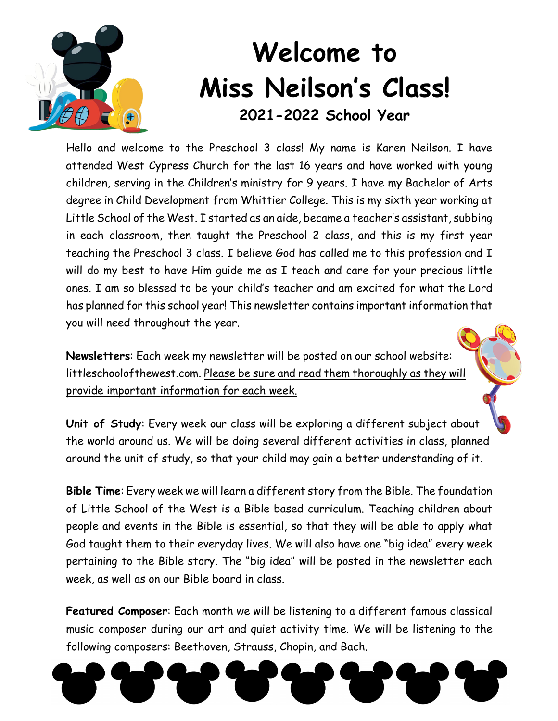

## **Welcome to Miss Neilson's Class! 2021-2022 School Year**

Hello and welcome to the Preschool 3 class! My name is Karen Neilson. I have attended West Cypress Church for the last 16 years and have worked with young children, serving in the Children's ministry for 9 years. I have my Bachelor of Arts degree in Child Development from Whittier College. This is my sixth year working at Little School of the West. I started as an aide, became a teacher's assistant, subbing in each classroom, then taught the Preschool 2 class, and this is my first year teaching the Preschool 3 class. I believe God has called me to this profession and I will do my best to have Him guide me as I teach and care for your precious little ones. I am so blessed to be your child's teacher and am excited for what the Lord has planned for this school year! This newsletter contains important information that you will need throughout the year.

**Newsletters**: Each week my newsletter will be posted on our school website: littleschoolofthewest.com. Please be sure and read them thoroughly as they will provide important information for each week.

**Unit of Study**: Every week our class will be exploring a different subject about the world around us. We will be doing several different activities in class, planned around the unit of study, so that your child may gain a better understanding of it.

**Bible Time**: Every week we will learn a different story from the Bible. The foundation of Little School of the West is a Bible based curriculum. Teaching children about people and events in the Bible is essential, so that they will be able to apply what God taught them to their everyday lives. We will also have one "big idea" every week pertaining to the Bible story. The "big idea" will be posted in the newsletter each week, as well as on our Bible board in class.

**Featured Composer**: Each month we will be listening to a different famous classical music composer during our art and quiet activity time. We will be listening to the following composers: Beethoven, Strauss, Chopin, and Bach.